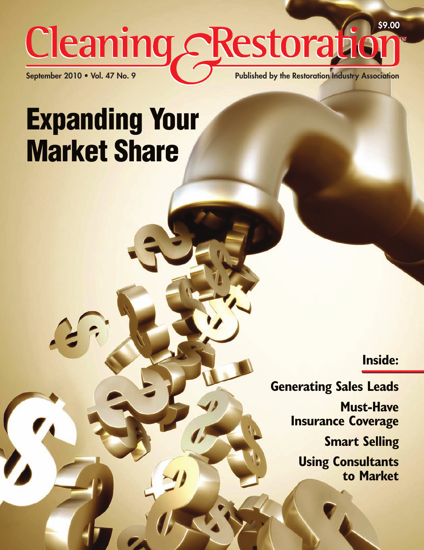## **\$9.00** Cleaning cRestorati **September 2010 • Vol. 47 No. 9 Published by the Restoration Industry Association**

# **Expanding Your Market Share**

**Inside:**

**Generating Sales Leads Must-Have Insurance Coverage Smart Selling Using Consultants to Market**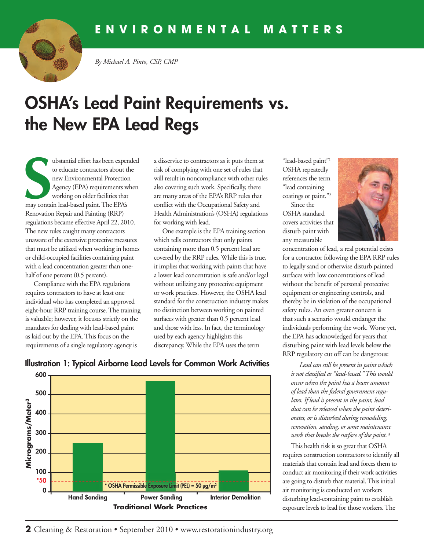

*By Michael A. Pinto, CSP, CMP*

## **OSHA's Lead Paint Requirements vs. the New EPA Lead Regs**

**S** ubstantial effort has been expended to educate contractors about the new Environmental Protection Agency (EPA) requirements when working on older facilities that may contain lead-based paint. The EPA's Renovation Repair and Painting (RRP) regulations became effective April 22, 2010. The new rules caught many contractors unaware of the extensive protective measures that must be utilized when working in homes or child-occupied facilities containing paint with a lead concentration greater than onehalf of one percent (0.5 percent).

Compliance with the EPA regulations requires contractors to have at least one individual who has completed an approved eight-hour RRP training course. The training is valuable; however, it focuses strictly on the mandates for dealing with lead-based paint as laid out by the EPA. This focus on the requirements of a single regulatory agency is

a disservice to contractors as it puts them at risk of complying with one set of rules that will result in noncompliance with other rules also covering such work. Specifically, there are many areas of the EPA's RRP rules that conflict with the Occupational Safety and Health Administration's (OSHA) regulations for working with lead.

One example is the EPA training section which tells contractors that only paints containing more than 0.5 percent lead are covered by the RRP rules. While this is true, it implies that working with paints that have a lower lead concentration is safe and/or legal without utilizing any protective equipment or work practices. However, the OSHA lead standard for the construction industry makes no distinction between working on painted surfaces with greater than 0.5 percent lead and those with less. In fact, the terminology used by each agency highlights this discrepancy. While the EPA uses the term

"lead-based paint"1 OSHA repeatedly references the term "lead containing coatings or paint."2

Since the OSHA standard covers activities that disturb paint with any measurable



concentration of lead, a real potential exists for a contractor following the EPA RRP rules to legally sand or otherwise disturb painted surfaces with low concentrations of lead without the benefit of personal protective equipment or engineering controls, and thereby be in violation of the occupational safety rules. An even greater concern is that such a scenario would endanger the individuals performing the work. Worse yet, the EPA has acknowledged for years that disturbing paint with lead levels below the RRP regulatory cut off can be dangerous:

*Lead can still be present in paint which is not classified as "lead-based." This would occur when the paint has a lower amount of lead than the federal government regulates. If lead is present in the paint, lead dust can be released when the paint deteriorates, or is disturbed during remodeling, renovation, sanding, or some maintenance work that breaks the surface of the paint. <sup>3</sup>*

This health risk is so great that OSHA requires construction contractors to identify all materials that contain lead and forces them to conduct air monitoring if their work activities are going to disturb that material. This initial air monitoring is conducted on workers disturbing lead-containing paint to establish exposure levels to lead for those workers. The



#### **Illustration 1: Typical Airborne Lead Levels for Common Work Activities**